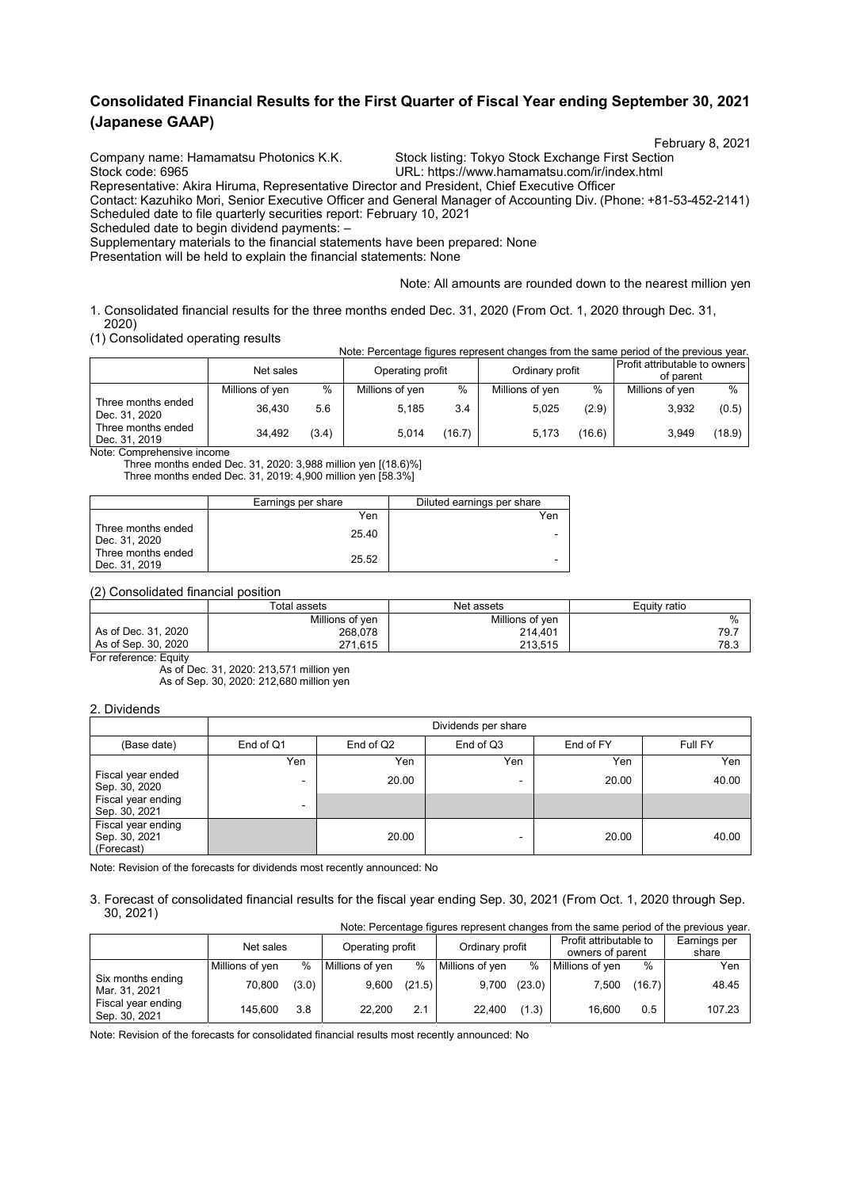# **Consolidated Financial Results for the First Quarter of Fiscal Year ending September 30, 2021 (Japanese GAAP)**

Company name: Hamamatsu Photonics K.K. Stock listing: Tokyo Stock Exchange First Section<br>URL: https://www.hamamatsu.com/ir/index.html

February 8, 2021<br>Company name: Hamamatsu Photonics K.K. Stock listing: Tokyo Stock Exchange First Section

URL: https://www.hamamatsu.com/ir/index.html

Representative: Akira Hiruma, Representative Director and President, Chief Executive Officer

Contact: Kazuhiko Mori, Senior Executive Officer and General Manager of Accounting Div. (Phone: +81-53-452-2141) Scheduled date to file quarterly securities report: February 10, 2021

Scheduled date to begin dividend payments: –

Supplementary materials to the financial statements have been prepared: None

Presentation will be held to explain the financial statements: None

Note: All amounts are rounded down to the nearest million yen

1. Consolidated financial results for the three months ended Dec. 31, 2020 (From Oct. 1, 2020 through Dec. 31, 2020)

(1) Consolidated operating results

| (1) Concolladioa oporallig roodito  |                 |               |                  |        |                 |        | Note: Percentage figures represent changes from the same period of the previous year. |        |
|-------------------------------------|-----------------|---------------|------------------|--------|-----------------|--------|---------------------------------------------------------------------------------------|--------|
|                                     | Net sales       |               | Operating profit |        | Ordinary profit |        | Profit attributable to owners I<br>of parent                                          |        |
|                                     | Millions of yen | $\frac{0}{0}$ | Millions of yen  | %      | Millions of yen | %      | Millions of yen                                                                       | $\%$   |
| Three months ended<br>Dec. 31, 2020 | 36.430          | 5.6           | 5.185            | 3.4    | 5.025           | (2.9)  | 3,932                                                                                 | (0.5)  |
| Three months ended<br>Dec. 31, 2019 | 34.492          | (3.4)         | 5.014            | (16.7) | 5.173           | (16.6) | 3.949                                                                                 | (18.9) |

Note: Comprehensive income

Three months ended Dec. 31, 2020: 3,988 million yen [(18.6)%] Three months ended Dec. 31, 2019: 4,900 million yen [58.3%]

|                                     | Earnings per share | Diluted earnings per share |
|-------------------------------------|--------------------|----------------------------|
|                                     | Yen                | Yen                        |
| Three months ended<br>Dec. 31, 2020 | 25.40              | ۰                          |
| Three months ended<br>Dec. 31, 2019 | 25.52              | -                          |

(2) Consolidated financial position

|                     | Total assets    | Net assets      | Equity ratio |
|---------------------|-----------------|-----------------|--------------|
|                     | Millions of yen | Millions of yen | %            |
| As of Dec. 31, 2020 | 268,078         | 214.401         | 79.7         |
| As of Sep. 30, 2020 | 271.615         | 213.515         | 78.3         |

For reference: Equity

As of Dec. 31, 2020: 213,571 million yen As of Sep. 30, 2020: 212,680 million yen

#### 2. Dividends

|                                                   |                          | Dividends per share |           |           |         |  |  |  |  |
|---------------------------------------------------|--------------------------|---------------------|-----------|-----------|---------|--|--|--|--|
| (Base date)                                       | End of Q1                | End of Q2           | End of Q3 | End of FY | Full FY |  |  |  |  |
|                                                   | Yen                      | Yen                 | Yen       | Yen       | Yen     |  |  |  |  |
| Fiscal year ended<br>Sep. 30, 2020                | $\overline{\phantom{a}}$ | 20.00               |           | 20.00     | 40.00   |  |  |  |  |
| Fiscal year ending<br>Sep. 30, 2021               | $\overline{\phantom{a}}$ |                     |           |           |         |  |  |  |  |
| Fiscal year ending<br>Sep. 30, 2021<br>(Forecast) |                          | 20.00               |           | 20.00     | 40.00   |  |  |  |  |

Note: Revision of the forecasts for dividends most recently announced: No

#### 3. Forecast of consolidated financial results for the fiscal year ending Sep. 30, 2021 (From Oct. 1, 2020 through Sep. 30, 2021) Note: Percentage figures represent changes from the same period of the previous year.

|                                     |                 |       |                 |                  |                 |                 |                 |                                            | inote. Percentage inquies represent changes from the same pendu of the previous year. |
|-------------------------------------|-----------------|-------|-----------------|------------------|-----------------|-----------------|-----------------|--------------------------------------------|---------------------------------------------------------------------------------------|
|                                     | Net sales       |       |                 | Operating profit |                 | Ordinary profit |                 | Profit attributable to<br>owners of parent |                                                                                       |
|                                     | Millions of yen | $\%$  | Millions of yen | %                | Millions of yen | %               | Millions of yen | %                                          | Yen                                                                                   |
| Six months ending<br>Mar. 31, 2021  | 70.800          | (3.0) | 9,600           | (21.5)           | 9,700           | (23.0)          | 7.500           | (16.7)                                     | 48.45                                                                                 |
| Fiscal year ending<br>Sep. 30, 2021 | 145.600         | 3.8   | 22.200          | 2.1              | 22.400          | (1.3)           | 16.600          | 0.5                                        | 107.23                                                                                |

Note: Revision of the forecasts for consolidated financial results most recently announced: No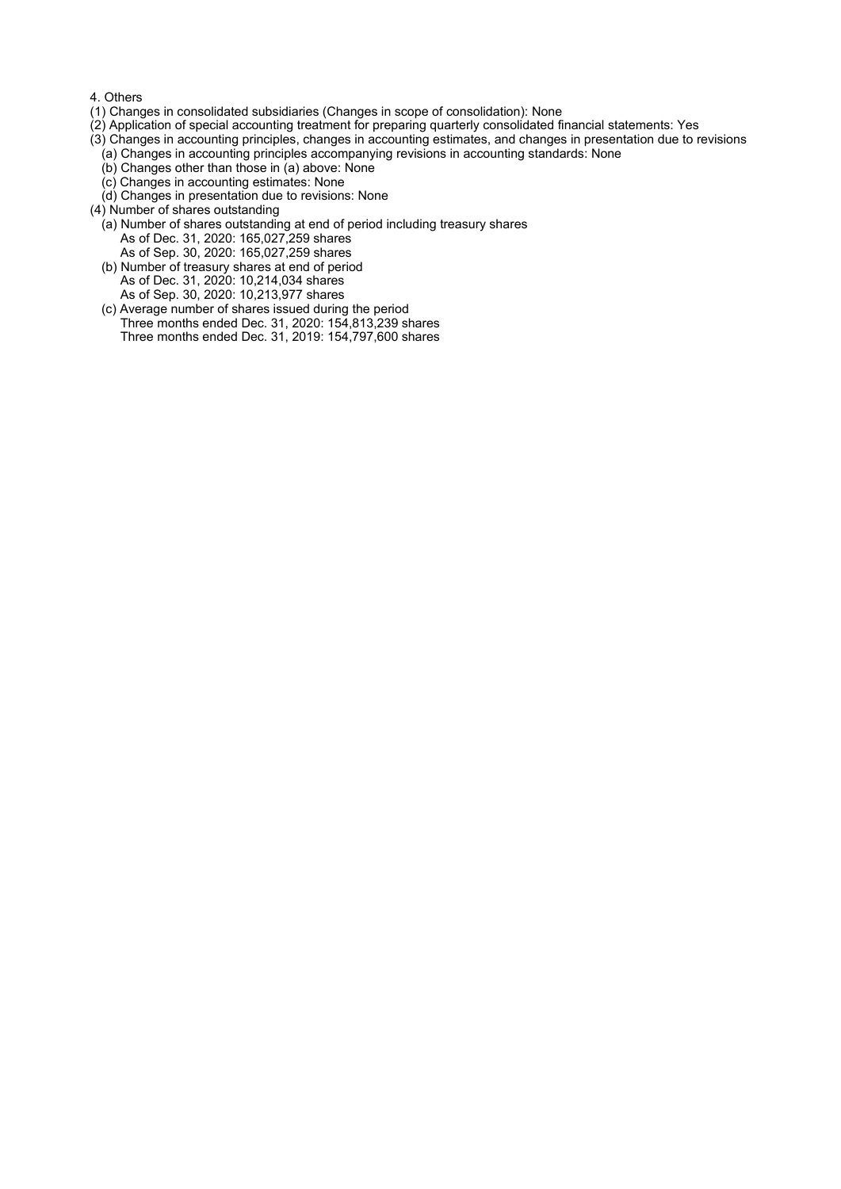#### 4. Others

- (1) Changes in consolidated subsidiaries (Changes in scope of consolidation): None
- (2) Application of special accounting treatment for preparing quarterly consolidated financial statements: Yes
- (3) Changes in accounting principles, changes in accounting estimates, and changes in presentation due to revisions
	- (a) Changes in accounting principles accompanying revisions in accounting standards: None
	- (b) Changes other than those in (a) above: None
	- (c) Changes in accounting estimates: None
	- (d) Changes in presentation due to revisions: None
- (4) Number of shares outstanding
	- (a) Number of shares outstanding at end of period including treasury shares As of Dec. 31, 2020: 165,027,259 shares As of Sep. 30, 2020: 165,027,259 shares
	- (b) Number of treasury shares at end of period As of Dec. 31, 2020: 10,214,034 shares As of Sep. 30, 2020: 10,213,977 shares
	- (c) Average number of shares issued during the period Three months ended Dec. 31, 2020: 154,813,239 shares Three months ended Dec. 31, 2019: 154,797,600 shares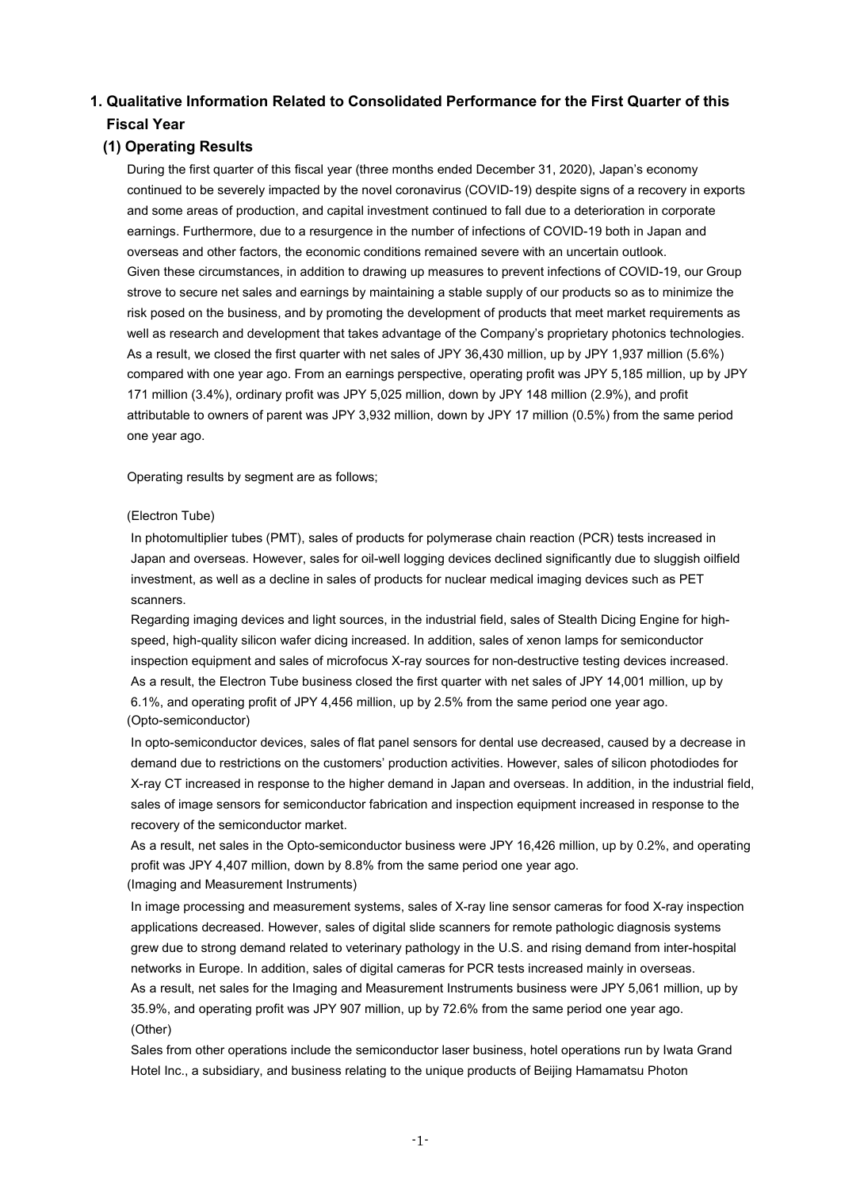# **1. Qualitative Information Related to Consolidated Performance for the First Quarter of this Fiscal Year**

### **(1) Operating Results**

During the first quarter of this fiscal year (three months ended December 31, 2020), Japan's economy continued to be severely impacted by the novel coronavirus (COVID-19) despite signs of a recovery in exports and some areas of production, and capital investment continued to fall due to a deterioration in corporate earnings. Furthermore, due to a resurgence in the number of infections of COVID-19 both in Japan and overseas and other factors, the economic conditions remained severe with an uncertain outlook. Given these circumstances, in addition to drawing up measures to prevent infections of COVID-19, our Group strove to secure net sales and earnings by maintaining a stable supply of our products so as to minimize the risk posed on the business, and by promoting the development of products that meet market requirements as well as research and development that takes advantage of the Company's proprietary photonics technologies. As a result, we closed the first quarter with net sales of JPY 36,430 million, up by JPY 1,937 million (5.6%) compared with one year ago. From an earnings perspective, operating profit was JPY 5,185 million, up by JPY 171 million (3.4%), ordinary profit was JPY 5,025 million, down by JPY 148 million (2.9%), and profit attributable to owners of parent was JPY 3,932 million, down by JPY 17 million (0.5%) from the same period one year ago.

Operating results by segment are as follows;

#### (Electron Tube)

In photomultiplier tubes (PMT), sales of products for polymerase chain reaction (PCR) tests increased in Japan and overseas. However, sales for oil-well logging devices declined significantly due to sluggish oilfield investment, as well as a decline in sales of products for nuclear medical imaging devices such as PET scanners.

Regarding imaging devices and light sources, in the industrial field, sales of Stealth Dicing Engine for highspeed, high-quality silicon wafer dicing increased. In addition, sales of xenon lamps for semiconductor inspection equipment and sales of microfocus X-ray sources for non-destructive testing devices increased. As a result, the Electron Tube business closed the first quarter with net sales of JPY 14,001 million, up by 6.1%, and operating profit of JPY 4,456 million, up by 2.5% from the same period one year ago. (Opto-semiconductor)

In opto-semiconductor devices, sales of flat panel sensors for dental use decreased, caused by a decrease in demand due to restrictions on the customers' production activities. However, sales of silicon photodiodes for X-ray CT increased in response to the higher demand in Japan and overseas. In addition, in the industrial field, sales of image sensors for semiconductor fabrication and inspection equipment increased in response to the recovery of the semiconductor market.

As a result, net sales in the Opto-semiconductor business were JPY 16,426 million, up by 0.2%, and operating profit was JPY 4,407 million, down by 8.8% from the same period one year ago. (Imaging and Measurement Instruments)

In image processing and measurement systems, sales of X-ray line sensor cameras for food X-ray inspection applications decreased. However, sales of digital slide scanners for remote pathologic diagnosis systems grew due to strong demand related to veterinary pathology in the U.S. and rising demand from inter-hospital networks in Europe. In addition, sales of digital cameras for PCR tests increased mainly in overseas. As a result, net sales for the Imaging and Measurement Instruments business were JPY 5,061 million, up by 35.9%, and operating profit was JPY 907 million, up by 72.6% from the same period one year ago. (Other)

Sales from other operations include the semiconductor laser business, hotel operations run by Iwata Grand Hotel Inc., a subsidiary, and business relating to the unique products of Beijing Hamamatsu Photon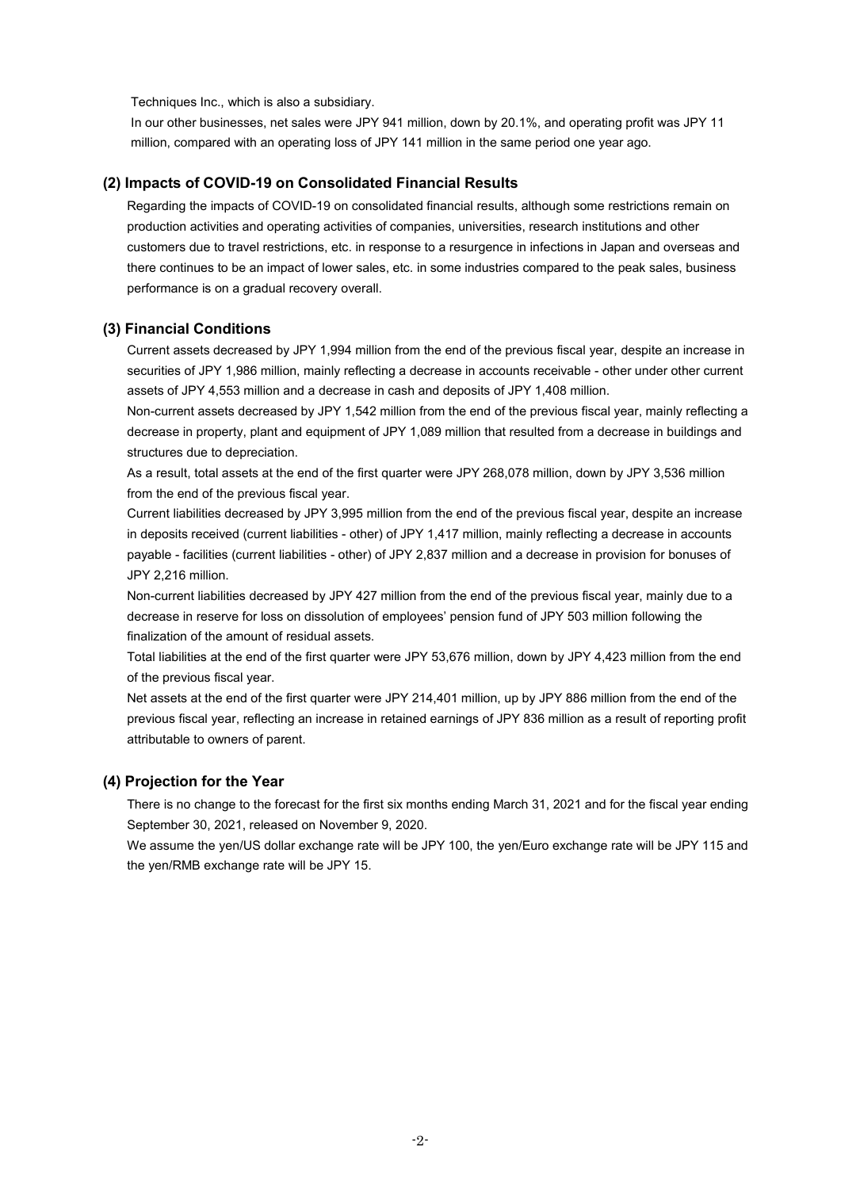Techniques Inc., which is also a subsidiary.

In our other businesses, net sales were JPY 941 million, down by 20.1%, and operating profit was JPY 11 million, compared with an operating loss of JPY 141 million in the same period one year ago.

### **(2) Impacts of COVID-19 on Consolidated Financial Results**

Regarding the impacts of COVID-19 on consolidated financial results, although some restrictions remain on production activities and operating activities of companies, universities, research institutions and other customers due to travel restrictions, etc. in response to a resurgence in infections in Japan and overseas and there continues to be an impact of lower sales, etc. in some industries compared to the peak sales, business performance is on a gradual recovery overall.

#### **(3) Financial Conditions**

Current assets decreased by JPY 1,994 million from the end of the previous fiscal year, despite an increase in securities of JPY 1,986 million, mainly reflecting a decrease in accounts receivable - other under other current assets of JPY 4,553 million and a decrease in cash and deposits of JPY 1,408 million.

Non-current assets decreased by JPY 1,542 million from the end of the previous fiscal year, mainly reflecting a decrease in property, plant and equipment of JPY 1,089 million that resulted from a decrease in buildings and structures due to depreciation.

As a result, total assets at the end of the first quarter were JPY 268,078 million, down by JPY 3,536 million from the end of the previous fiscal year.

Current liabilities decreased by JPY 3,995 million from the end of the previous fiscal year, despite an increase in deposits received (current liabilities - other) of JPY 1,417 million, mainly reflecting a decrease in accounts payable - facilities (current liabilities - other) of JPY 2,837 million and a decrease in provision for bonuses of JPY 2,216 million.

Non-current liabilities decreased by JPY 427 million from the end of the previous fiscal year, mainly due to a decrease in reserve for loss on dissolution of employees' pension fund of JPY 503 million following the finalization of the amount of residual assets.

Total liabilities at the end of the first quarter were JPY 53,676 million, down by JPY 4,423 million from the end of the previous fiscal year.

Net assets at the end of the first quarter were JPY 214,401 million, up by JPY 886 million from the end of the previous fiscal year, reflecting an increase in retained earnings of JPY 836 million as a result of reporting profit attributable to owners of parent.

#### **(4) Projection for the Year**

There is no change to the forecast for the first six months ending March 31, 2021 and for the fiscal year ending September 30, 2021, released on November 9, 2020.

We assume the yen/US dollar exchange rate will be JPY 100, the yen/Euro exchange rate will be JPY 115 and the yen/RMB exchange rate will be JPY 15.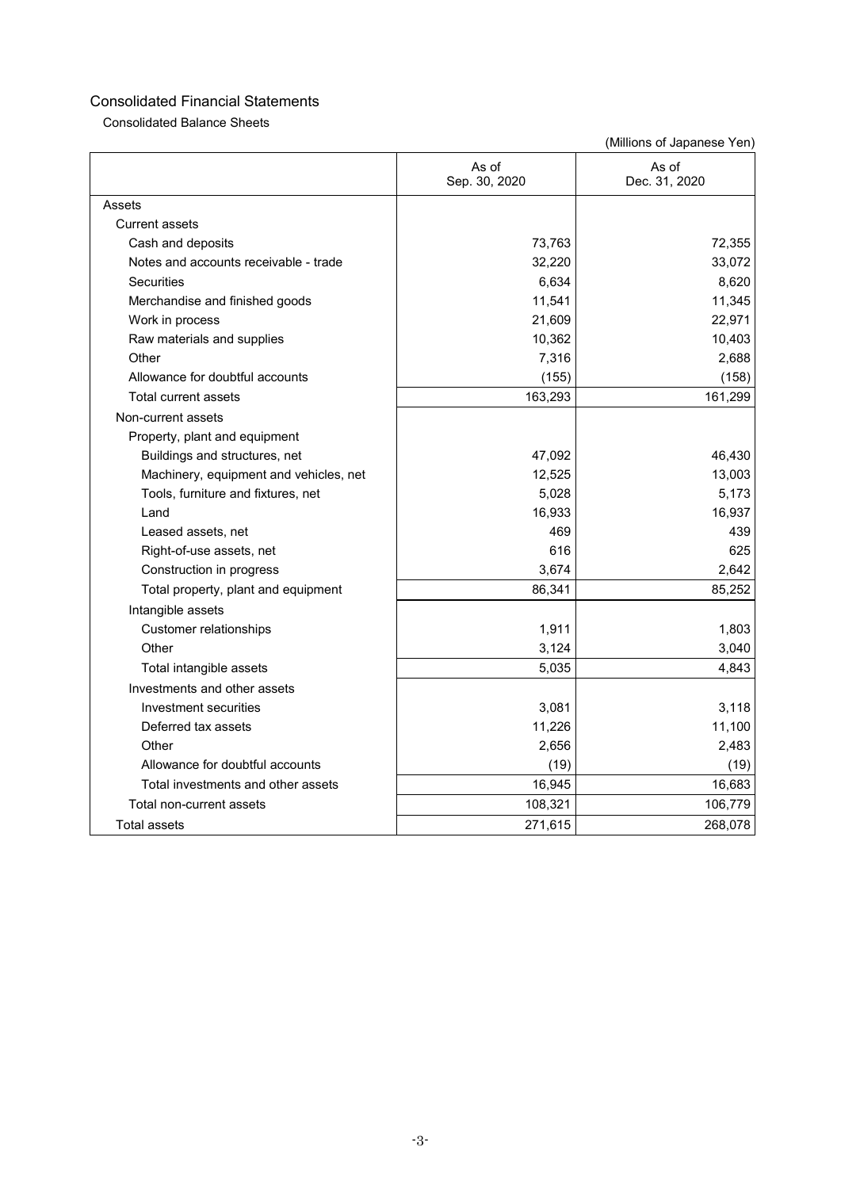Consolidated Balance Sheets

|                                        | As of<br>Sep. 30, 2020 | As of<br>Dec. 31, 2020 |
|----------------------------------------|------------------------|------------------------|
| Assets                                 |                        |                        |
| <b>Current assets</b>                  |                        |                        |
| Cash and deposits                      | 73,763                 | 72,355                 |
| Notes and accounts receivable - trade  | 32,220                 | 33,072                 |
| <b>Securities</b>                      | 6,634                  | 8,620                  |
| Merchandise and finished goods         | 11,541                 | 11,345                 |
| Work in process                        | 21,609                 | 22,971                 |
| Raw materials and supplies             | 10,362                 | 10,403                 |
| Other                                  | 7,316                  | 2,688                  |
| Allowance for doubtful accounts        | (155)                  | (158)                  |
| Total current assets                   | 163,293                | 161,299                |
| Non-current assets                     |                        |                        |
| Property, plant and equipment          |                        |                        |
| Buildings and structures, net          | 47,092                 | 46,430                 |
| Machinery, equipment and vehicles, net | 12,525                 | 13,003                 |
| Tools, furniture and fixtures, net     | 5,028                  | 5,173                  |
| I and                                  | 16,933                 | 16,937                 |
| Leased assets, net                     | 469                    | 439                    |
| Right-of-use assets, net               | 616                    | 625                    |
| Construction in progress               | 3,674                  | 2,642                  |
| Total property, plant and equipment    | 86,341                 | 85,252                 |
| Intangible assets                      |                        |                        |
| Customer relationships                 | 1,911                  | 1,803                  |
| Other                                  | 3,124                  | 3,040                  |
| Total intangible assets                | 5,035                  | 4,843                  |
| Investments and other assets           |                        |                        |
| Investment securities                  | 3,081                  | 3,118                  |
| Deferred tax assets                    | 11,226                 | 11,100                 |
| Other                                  | 2,656                  | 2,483                  |
| Allowance for doubtful accounts        | (19)                   | (19)                   |
| Total investments and other assets     | 16,945                 | 16,683                 |
| Total non-current assets               | 108,321                | 106,779                |
| <b>Total assets</b>                    | 271,615                | 268,078                |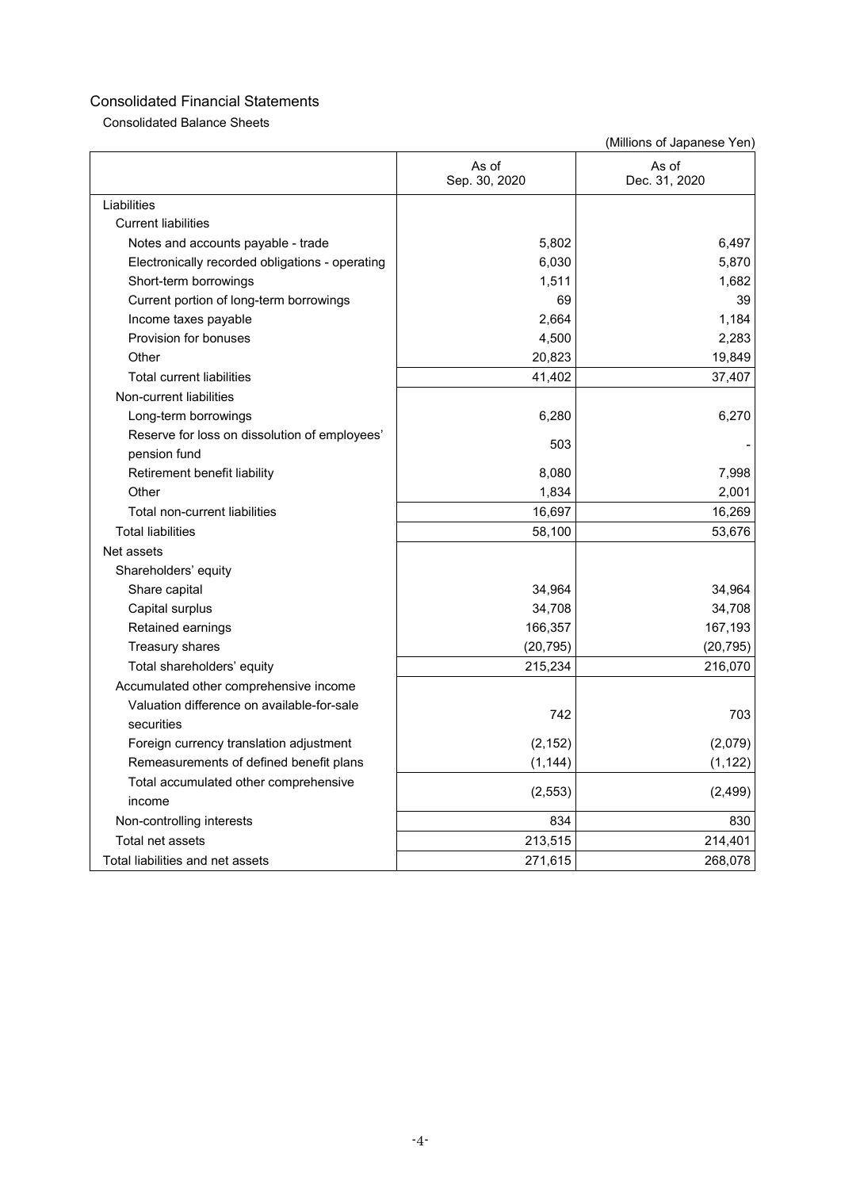Consolidated Balance Sheets

|                                                               | As of<br>Sep. 30, 2020 | As of<br>Dec. 31, 2020 |
|---------------------------------------------------------------|------------------------|------------------------|
| Liabilities                                                   |                        |                        |
| <b>Current liabilities</b>                                    |                        |                        |
| Notes and accounts payable - trade                            | 5,802                  | 6.497                  |
| Electronically recorded obligations - operating               | 6,030                  | 5,870                  |
| Short-term borrowings                                         | 1,511                  | 1,682                  |
| Current portion of long-term borrowings                       | 69                     | 39                     |
| Income taxes payable                                          | 2,664                  | 1,184                  |
| Provision for bonuses                                         | 4,500                  | 2,283                  |
| Other                                                         | 20,823                 | 19,849                 |
| <b>Total current liabilities</b>                              | 41,402                 | 37,407                 |
| Non-current liabilities                                       |                        |                        |
| Long-term borrowings                                          | 6,280                  | 6,270                  |
| Reserve for loss on dissolution of employees'<br>pension fund | 503                    |                        |
| Retirement benefit liability                                  | 8,080                  | 7,998                  |
| Other                                                         | 1,834                  | 2,001                  |
| Total non-current liabilities                                 | 16,697                 | 16,269                 |
| <b>Total liabilities</b>                                      | 58,100                 | 53,676                 |
| Net assets                                                    |                        |                        |
| Shareholders' equity                                          |                        |                        |
| Share capital                                                 | 34,964                 | 34,964                 |
| Capital surplus                                               | 34,708                 | 34,708                 |
| Retained earnings                                             | 166,357                | 167,193                |
| Treasury shares                                               | (20, 795)              | (20, 795)              |
| Total shareholders' equity                                    | 215,234                | 216,070                |
| Accumulated other comprehensive income                        |                        |                        |
| Valuation difference on available-for-sale<br>securities      | 742                    | 703                    |
| Foreign currency translation adjustment                       | (2, 152)               | (2,079)                |
| Remeasurements of defined benefit plans                       | (1, 144)               | (1, 122)               |
| Total accumulated other comprehensive<br>income               | (2, 553)               | (2, 499)               |
| Non-controlling interests                                     | 834                    | 830                    |
| Total net assets                                              | 213,515                | 214,401                |
| Total liabilities and net assets                              | 271,615                | 268,078                |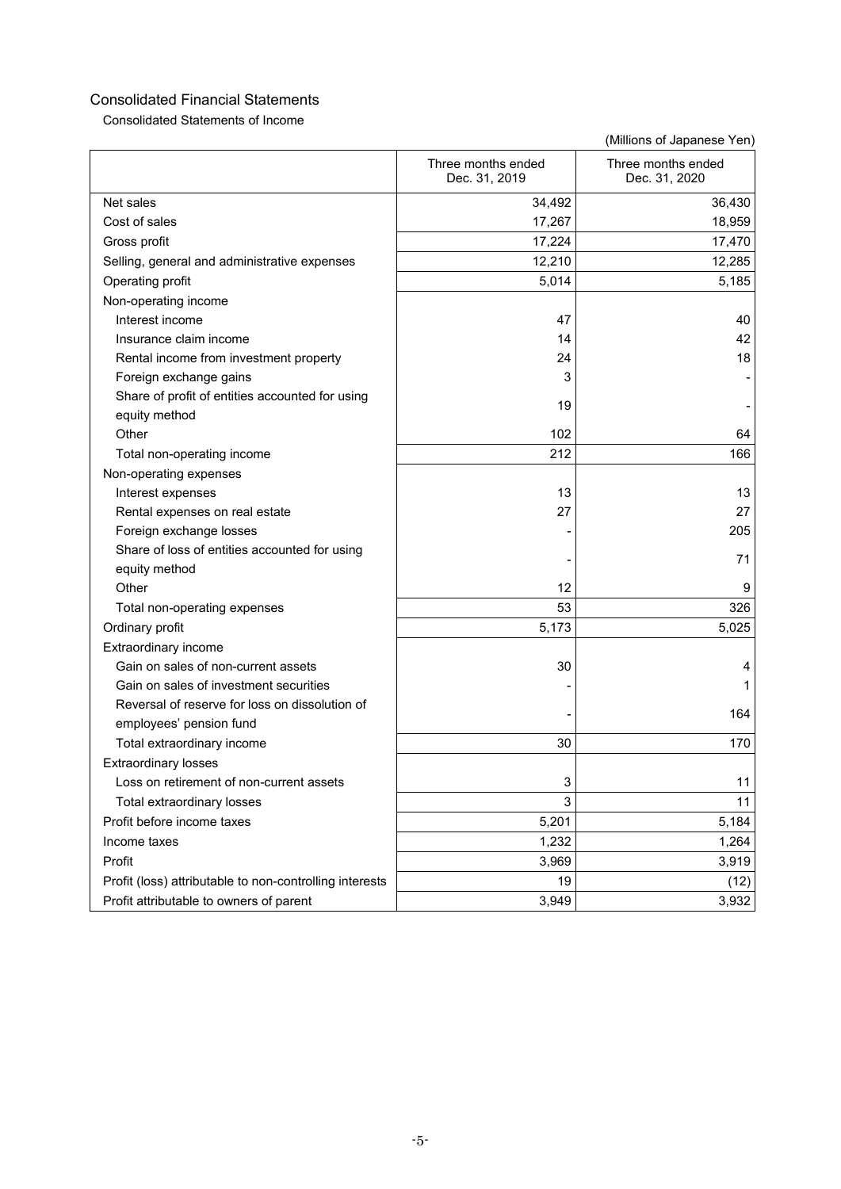Consolidated Statements of Income

|                                                                           | Three months ended<br>Dec. 31, 2019 | Three months ended<br>Dec. 31, 2020 |
|---------------------------------------------------------------------------|-------------------------------------|-------------------------------------|
| Net sales                                                                 | 34,492                              | 36,430                              |
| Cost of sales                                                             | 17,267                              | 18,959                              |
| Gross profit                                                              | 17,224                              | 17,470                              |
| Selling, general and administrative expenses                              | 12,210                              | 12,285                              |
| Operating profit                                                          | 5,014                               | 5,185                               |
| Non-operating income                                                      |                                     |                                     |
| Interest income                                                           | 47                                  | 40                                  |
| Insurance claim income                                                    | 14                                  | 42                                  |
| Rental income from investment property                                    | 24                                  | 18                                  |
| Foreign exchange gains                                                    | 3                                   |                                     |
| Share of profit of entities accounted for using                           | 19                                  |                                     |
| equity method                                                             |                                     |                                     |
| Other                                                                     | 102                                 | 64                                  |
| Total non-operating income                                                | 212                                 | 166                                 |
| Non-operating expenses                                                    |                                     |                                     |
| Interest expenses                                                         | 13                                  | 13                                  |
| Rental expenses on real estate                                            | 27                                  | 27                                  |
| Foreign exchange losses                                                   |                                     | 205                                 |
| Share of loss of entities accounted for using                             |                                     | 71                                  |
| equity method                                                             |                                     |                                     |
| Other                                                                     | 12                                  | 9                                   |
| Total non-operating expenses                                              | 53                                  | 326                                 |
| Ordinary profit                                                           | 5,173                               | 5,025                               |
| Extraordinary income                                                      |                                     |                                     |
| Gain on sales of non-current assets                                       | 30                                  | 4                                   |
| Gain on sales of investment securities                                    |                                     |                                     |
| Reversal of reserve for loss on dissolution of<br>employees' pension fund |                                     | 164                                 |
| Total extraordinary income                                                | 30                                  | 170                                 |
| <b>Extraordinary losses</b>                                               |                                     |                                     |
| Loss on retirement of non-current assets                                  | 3                                   | 11                                  |
| Total extraordinary losses                                                | 3                                   | 11                                  |
| Profit before income taxes                                                | 5,201                               | 5,184                               |
| Income taxes                                                              | 1,232                               | 1,264                               |
| Profit                                                                    | 3,969                               | 3,919                               |
| Profit (loss) attributable to non-controlling interests                   | 19                                  | (12)                                |
| Profit attributable to owners of parent                                   | 3,949                               | 3,932                               |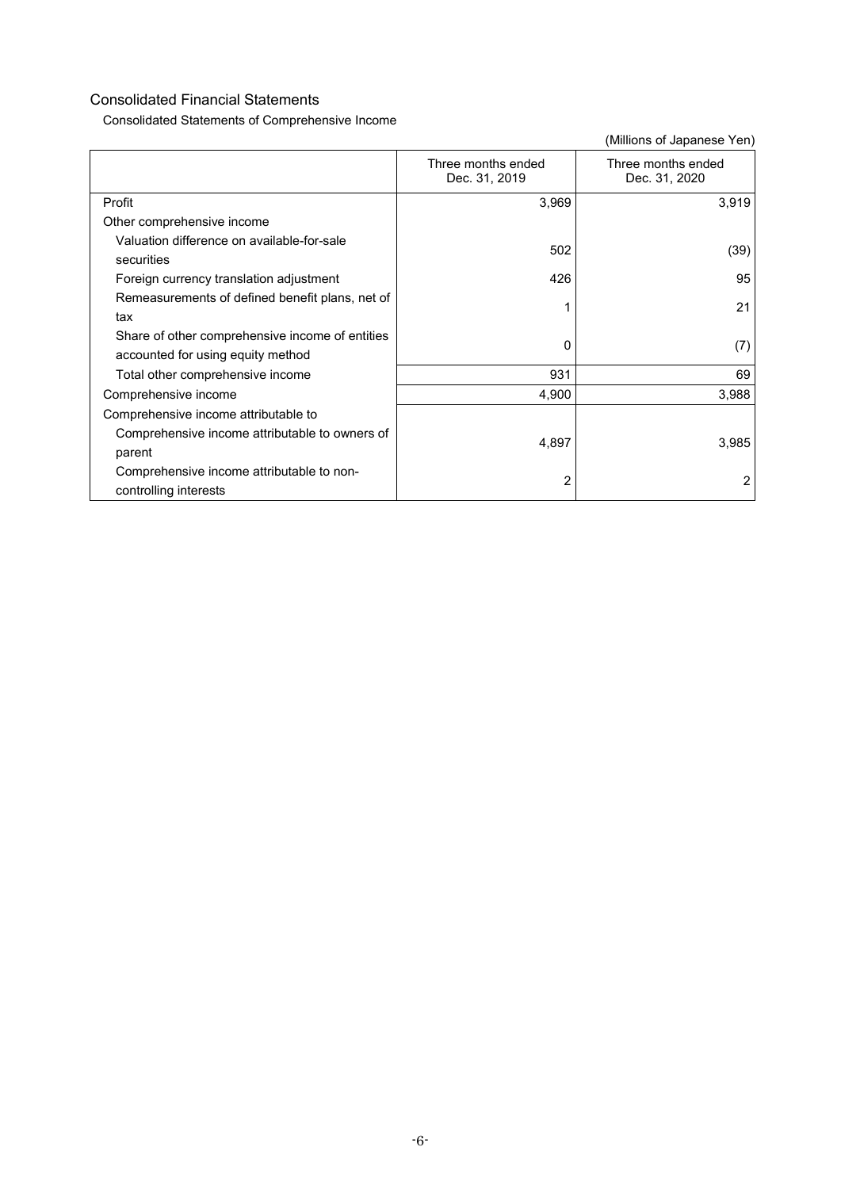Consolidated Statements of Comprehensive Income

|                                                                                      | Three months ended<br>Dec. 31, 2019 | Three months ended<br>Dec. 31, 2020 |
|--------------------------------------------------------------------------------------|-------------------------------------|-------------------------------------|
| Profit                                                                               | 3,969                               | 3,919                               |
| Other comprehensive income                                                           |                                     |                                     |
| Valuation difference on available-for-sale<br>securities                             | 502                                 | (39)                                |
| Foreign currency translation adjustment                                              | 426                                 | 95                                  |
| Remeasurements of defined benefit plans, net of<br>tax                               |                                     | 21                                  |
| Share of other comprehensive income of entities<br>accounted for using equity method | 0                                   | (7)                                 |
| Total other comprehensive income                                                     | 931                                 | 69                                  |
| Comprehensive income                                                                 | 4,900                               | 3,988                               |
| Comprehensive income attributable to                                                 |                                     |                                     |
| Comprehensive income attributable to owners of<br>parent                             | 4,897                               | 3,985                               |
| Comprehensive income attributable to non-<br>controlling interests                   | 2                                   | 2                                   |